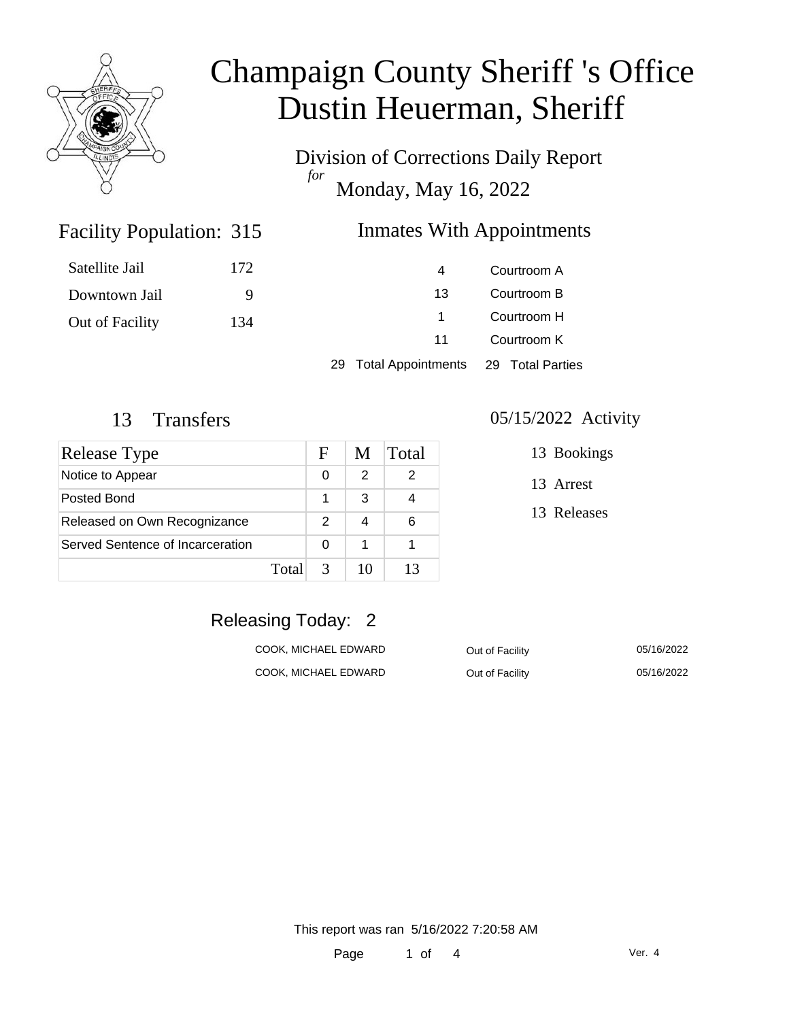

Division of Corrections Daily Report *for* Monday, May 16, 2022

### Inmates With Appointments

| Satellite Jail  | 172 | 4  | Courtroom A |
|-----------------|-----|----|-------------|
| Downtown Jail   |     | 13 | Courtroom B |
| Out of Facility | 134 |    | Courtroom H |
|                 |     | 11 | Courtroom K |
|                 |     |    |             |

29 Total Appointments 29 Total Parties

Facility Population: 315

| Release Type                     |       | F | M  | Total |
|----------------------------------|-------|---|----|-------|
| Notice to Appear                 |       | 0 | 2  |       |
| Posted Bond                      |       |   | 3  |       |
| Released on Own Recognizance     |       | 2 |    | 6     |
| Served Sentence of Incarceration |       | 0 | 1  |       |
|                                  | Total | 3 | 10 | 13    |

#### 13 Transfers 05/15/2022 Activity

13 Bookings

13 Arrest

13 Releases

### Releasing Today: 2

| COOK, MICHAEL EDWARD | Out of Facility | 05/16/2022 |
|----------------------|-----------------|------------|
| COOK, MICHAEL EDWARD | Out of Facility | 05/16/2022 |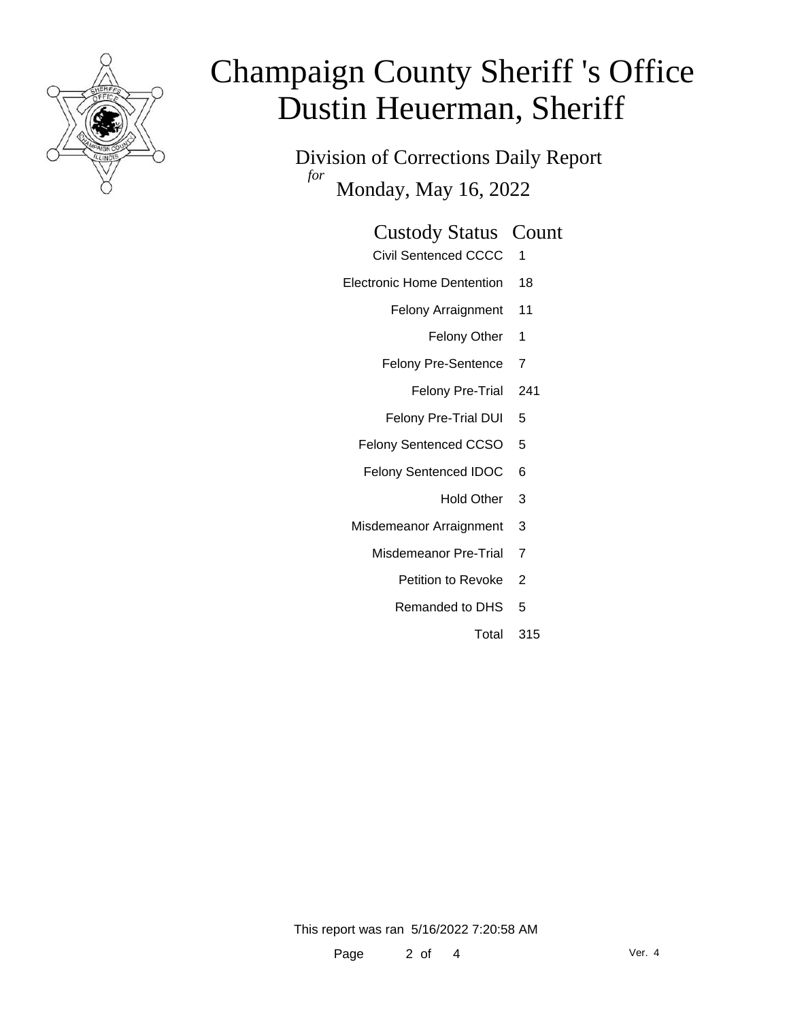

Division of Corrections Daily Report *for* Monday, May 16, 2022

| <b>Custody Status Count</b> |  |
|-----------------------------|--|
|-----------------------------|--|

- Civil Sentenced CCCC 1
- Electronic Home Dentention 18
	- Felony Arraignment 11
		- Felony Other 1
	- Felony Pre-Sentence 7
		- Felony Pre-Trial 241
	- Felony Pre-Trial DUI 5
	- Felony Sentenced CCSO 5
	- Felony Sentenced IDOC 6
		- Hold Other 3
	- Misdemeanor Arraignment 3
		- Misdemeanor Pre-Trial 7
			- Petition to Revoke 2
			- Remanded to DHS 5
				- Total 315

This report was ran 5/16/2022 7:20:58 AM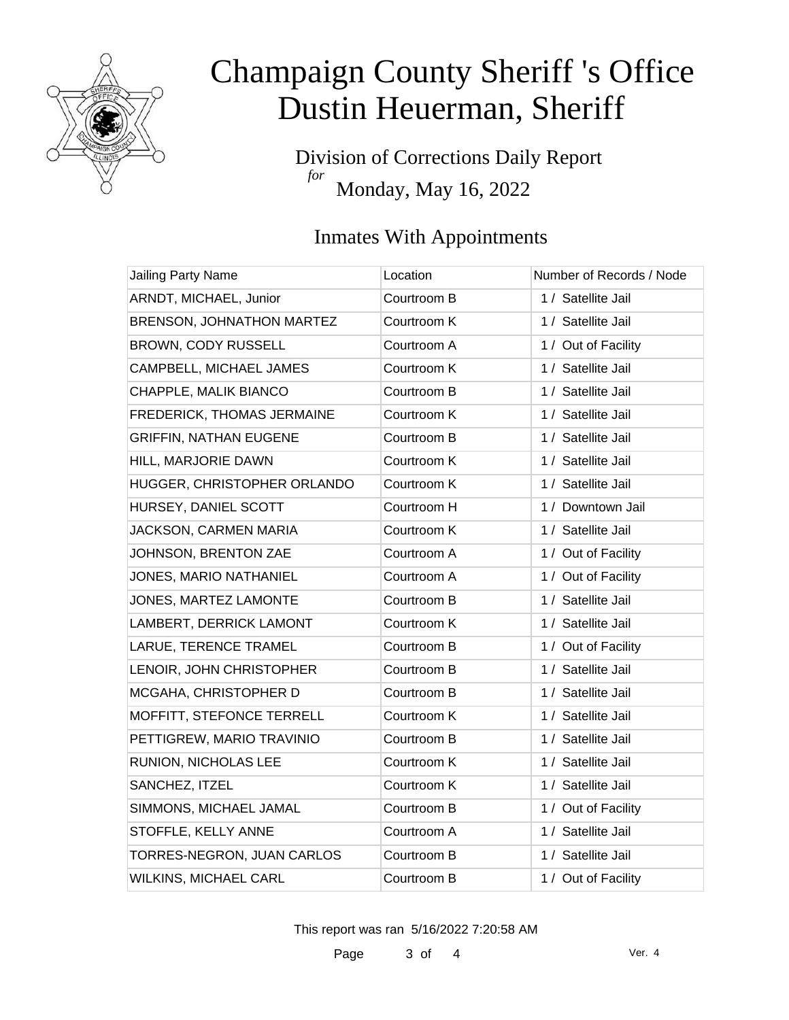

Division of Corrections Daily Report *for* Monday, May 16, 2022

### Inmates With Appointments

| Jailing Party Name            | Location    | Number of Records / Node |
|-------------------------------|-------------|--------------------------|
| ARNDT, MICHAEL, Junior        | Courtroom B | 1 / Satellite Jail       |
| BRENSON, JOHNATHON MARTEZ     | Courtroom K | 1 / Satellite Jail       |
| BROWN, CODY RUSSELL           | Courtroom A | 1 / Out of Facility      |
| CAMPBELL, MICHAEL JAMES       | Courtroom K | 1 / Satellite Jail       |
| CHAPPLE, MALIK BIANCO         | Courtroom B | 1 / Satellite Jail       |
| FREDERICK, THOMAS JERMAINE    | Courtroom K | 1 / Satellite Jail       |
| <b>GRIFFIN, NATHAN EUGENE</b> | Courtroom B | 1 / Satellite Jail       |
| HILL, MARJORIE DAWN           | Courtroom K | 1 / Satellite Jail       |
| HUGGER, CHRISTOPHER ORLANDO   | Courtroom K | 1 / Satellite Jail       |
| HURSEY, DANIEL SCOTT          | Courtroom H | 1 / Downtown Jail        |
| JACKSON, CARMEN MARIA         | Courtroom K | 1 / Satellite Jail       |
| JOHNSON, BRENTON ZAE          | Courtroom A | 1 / Out of Facility      |
| JONES, MARIO NATHANIEL        | Courtroom A | 1 / Out of Facility      |
| JONES, MARTEZ LAMONTE         | Courtroom B | 1 / Satellite Jail       |
| LAMBERT, DERRICK LAMONT       | Courtroom K | 1 / Satellite Jail       |
| LARUE, TERENCE TRAMEL         | Courtroom B | 1 / Out of Facility      |
| LENOIR, JOHN CHRISTOPHER      | Courtroom B | 1 / Satellite Jail       |
| MCGAHA, CHRISTOPHER D         | Courtroom B | 1 / Satellite Jail       |
| MOFFITT, STEFONCE TERRELL     | Courtroom K | 1 / Satellite Jail       |
| PETTIGREW, MARIO TRAVINIO     | Courtroom B | 1 / Satellite Jail       |
| RUNION, NICHOLAS LEE          | Courtroom K | 1 / Satellite Jail       |
| SANCHEZ, ITZEL                | Courtroom K | 1 / Satellite Jail       |
| SIMMONS, MICHAEL JAMAL        | Courtroom B | 1 / Out of Facility      |
| STOFFLE, KELLY ANNE           | Courtroom A | 1 / Satellite Jail       |
| TORRES-NEGRON, JUAN CARLOS    | Courtroom B | 1 / Satellite Jail       |
| <b>WILKINS, MICHAEL CARL</b>  | Courtroom B | 1 / Out of Facility      |

This report was ran 5/16/2022 7:20:58 AM